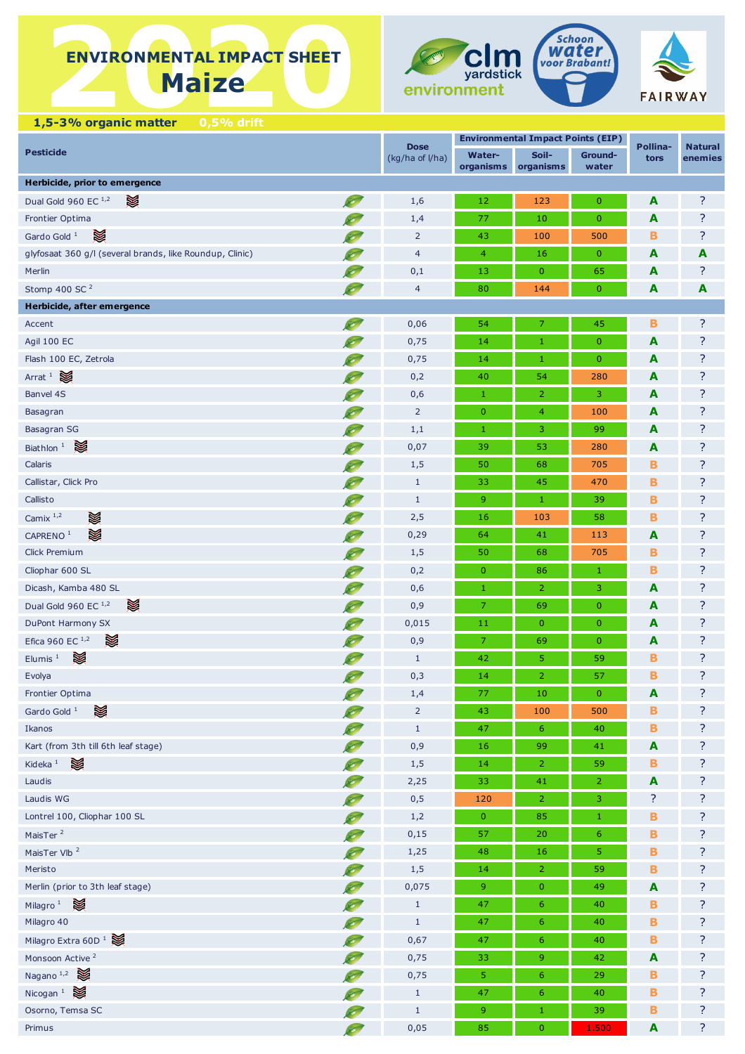# **ENVIRONMENTAL IMPACT SHEET ENVIRONMENTAL IMPACT SHEET Maize**







 **1,5-3% organic matter 0,5% drift**

|                                                          | <b>Dose</b>     |                            | <b>Environmental Impact Points (EIP)</b> |                  | Pollina-                |                           |
|----------------------------------------------------------|-----------------|----------------------------|------------------------------------------|------------------|-------------------------|---------------------------|
| <b>Pesticide</b>                                         | (kg/ha of l/ha) | <b>Water-</b><br>organisms | Soil-<br>organisms                       | Ground-<br>water | tors                    | <b>Natural</b><br>enemies |
| Herbicide, prior to emergence                            |                 |                            |                                          |                  |                         |                           |
| ☀<br>Dual Gold 960 EC 1,2                                | 1,6             | 12                         | 123                                      | $\pmb{0}$        | A                       | ?                         |
| Frontier Optima                                          | 1,4             | 77                         | 10                                       | $\pmb{0}$        | A                       | ?                         |
| X<br>Gardo Gold <sup>1</sup>                             | $\overline{2}$  | 43                         | 100                                      | 500              | в                       | ?                         |
| glyfosaat 360 g/l (several brands, like Roundup, Clinic) | $\overline{4}$  | $\overline{4}$             | 16                                       | $\pmb{0}$        | A                       | A                         |
| Merlin                                                   | 0,1             | 13                         | $\mathbf{0}$                             | 65               | A                       | ?                         |
| Stomp 400 SC <sup>2</sup><br>Ø                           | $\overline{4}$  | 80                         | 144                                      | $\pmb{0}$        | $\overline{\mathbf{A}}$ | A                         |
| Herbicide, after emergence                               |                 |                            |                                          |                  |                         |                           |
| Ø<br>Accent                                              | 0,06            | 54                         | $\overline{7}$                           | 45               | в                       | ?                         |
| Agil 100 EC                                              | 0,75            | 14                         | $\mathbf{1}$                             | $\overline{0}$   | A                       | ?                         |
| Flash 100 EC, Zetrola                                    | 0,75            | 14                         | $\mathbf{1}$                             | $\pmb{0}$        | A                       | ?                         |
| ×<br>Arrat $1$                                           | 0,2             | 40                         | 54                                       | 280              | A                       | ?                         |
| Banvel 4S                                                | 0,6             | $\mathbf{1}$               | $\overline{2}$                           | 3                | A                       | ?                         |
| Basagran                                                 | $\overline{2}$  | $\mathbf{0}$               | $\overline{4}$                           | 100              | A                       | ?                         |
| Basagran SG                                              | 1,1             | $\mathbf{1}$               | $\mathsf 3$                              | 99               | A                       | ?                         |
| ☀<br>Biathlon <sup>1</sup>                               | 0,07            | 39                         | 53                                       | 280              | A                       | ?                         |
| Calaris                                                  | 1,5             | 50                         | 68                                       | 705              | в                       | ?                         |
| Callistar, Click Pro                                     | $\mathbf{1}$    | 33                         | 45                                       | 470              | В                       | ?                         |
| Callisto                                                 | $\mathbf{1}$    | 9                          | $\mathbf{1}$                             | 39               | В                       | ?                         |
| X<br>Camix $1,2$                                         | 2,5             | 16                         | 103                                      | 58               | В                       | ?                         |
| X<br>CAPRENO <sup>1</sup>                                | 0,29            | 64                         | 41                                       | 113              | A                       | ?                         |
| Click Premium                                            | 1,5             | 50                         | 68                                       | 705              | в                       | ?                         |
| Cliophar 600 SL                                          | 0,2             | $\mathbf{0}$               | 86                                       | $1\,$            | в                       | ?                         |
| Dicash, Kamba 480 SL                                     | 0,6             | $\mathbf{1}$               | $\overline{2}$                           | 3                | A                       | ?                         |
| ☀<br>Dual Gold 960 EC 1,2                                | 0,9             | $\overline{7}$             | 69                                       | $\pmb{0}$        | A                       | ?                         |
| DuPont Harmony SX                                        | 0,015           | 11                         | $\mathbf{0}$                             | $\mathbf{0}$     | A                       | ?                         |
| ☀<br>Efica 960 EC $^{1,2}$                               | 0,9             | $\overline{7}$             | 69                                       | $\pmb{0}$        | A                       | ?                         |
| ☀<br>Elumis $1$                                          | $\mathbf{1}$    | 42                         | 5                                        | 59               | в                       | ?                         |
| Evolya                                                   | 0,3             | 14                         | $\overline{2}$                           | 57               | B                       | ?                         |
| O<br>Frontier Optima                                     | $1,4$           | 77                         | $10\,$                                   | $\bf{0}$         | A                       | ?                         |
| ☀<br>Gardo Gold <sup>1</sup>                             | $\overline{2}$  | 43                         | 100                                      | 500              | в                       | ?                         |
| Ikanos                                                   | $1\,$           | 47                         | 6                                        | 40               | B                       | ?                         |
| Kart (from 3th till 6th leaf stage)                      | 0,9             | 16                         | 99                                       | 41               | $\mathbf{A}$            | ?                         |
| ☀<br>Kideka $1$                                          | 1,5             | 14                         | $\overline{2}$                           | 59               | в                       | ?                         |
| Laudis                                                   | 2,25            | 33                         | 41                                       | $\overline{2}$   | $\mathbf{A}$            | ?                         |
| Laudis WG                                                | 0,5             | 120                        | $\overline{2}$                           | 3                | ?                       | ?                         |
| Lontrel 100, Cliophar 100 SL                             | 1,2             | $\mathbf 0$                | 85                                       | $1\,$            | В                       | ?                         |
| MaisTer <sup>2</sup>                                     | 0,15            | 57                         | 20                                       | $\boldsymbol{6}$ | B                       | ?                         |
| MaisTer Vlb <sup>2</sup>                                 | 1,25            | 48                         | 16                                       | $\sqrt{5}$       | в                       | ?                         |
| Meristo                                                  | 1,5             | 14                         | $\overline{2}$                           | 59               | В                       | ?                         |
| Merlin (prior to 3th leaf stage)                         | 0,075           | $9\,$                      | $\bf{0}$                                 | 49               | $\mathbf{A}$            | ?                         |
| Milagro <sup>1</sup>                                     | $\mathbf{1}$    | 47                         | $\sqrt{6}$                               | 40               | в                       | ?                         |
| Milagro 40                                               | $\mathbf{1}$    | 47                         | $\sqrt{6}$                               | 40               | В                       | ?                         |
| Milagro Extra 60D <sup>1</sup>                           | 0,67            | 47                         | 6                                        | 40               | в                       | ?                         |
| Monsoon Active <sup>2</sup>                              | 0,75            | 33                         | 9                                        | 42               | A                       | ?                         |
| Nagano <sup>1,2</sup>                                    | 0,75            | $\overline{5}$             | $\sqrt{6}$                               | 29               | в                       | ?                         |
| Nicogan <sup>1</sup>                                     | $1\,$           | 47                         | $\boldsymbol{6}$                         | 40               | B                       | ?                         |
| Osorno, Temsa SC                                         | $\mathbf{1}$    | $\overline{9}$             | $\mathbf{1}$                             | 39               | в                       | ?                         |
| Primus<br>Ø                                              | 0,05            | 85                         | $\pmb{0}$                                | 1.500            | $\blacktriangle$        | ?                         |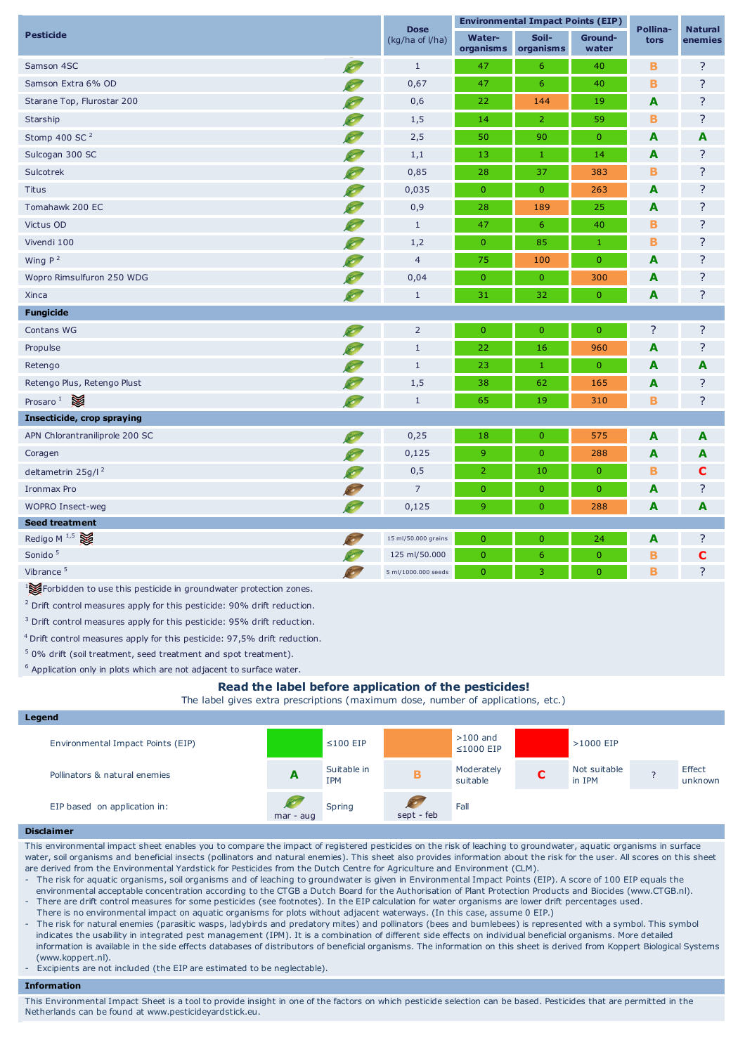| <b>Pesticide</b>                                                 |           | <b>Dose</b><br>(kg/ha of l/ha) | <b>Environmental Impact Points (EIP)</b> |                    |                  | Pollina-                | <b>Natural</b> |
|------------------------------------------------------------------|-----------|--------------------------------|------------------------------------------|--------------------|------------------|-------------------------|----------------|
|                                                                  |           |                                | <b>Water-</b><br>organisms               | Soil-<br>organisms | Ground-<br>water | tors                    | enemies        |
| Samson 4SC                                                       | O         | $\mathbf{1}$                   | 47                                       | 6                  | 40               | в                       | ?              |
| Samson Extra 6% OD                                               |           | 0,67                           | 47                                       | $6\phantom{a}$     | 40               | B                       | ?              |
| Starane Top, Flurostar 200                                       |           | 0,6                            | 22                                       | 144                | 19               | A                       | ?              |
| Starship                                                         |           | 1,5                            | 14                                       | $\overline{2}$     | 59               | B                       | ?              |
| Stomp 400 SC <sup>2</sup>                                        |           | 2,5                            | 50                                       | 90                 | $\overline{0}$   | A                       | A              |
| Sulcogan 300 SC                                                  |           | 1,1                            | 13                                       | $\mathbf 1$        | 14               | A                       | ?              |
| Sulcotrek                                                        |           | 0,85                           | 28                                       | 37                 | 383              | B                       | ?              |
| <b>Titus</b>                                                     |           | 0,035                          | $\mathbf{0}$                             | $\boldsymbol{0}$   | 263              | A                       | ?              |
| Tomahawk 200 EC                                                  |           | 0,9                            | 28                                       | 189                | 25               | $\overline{\mathbf{A}}$ | ?              |
| Victus OD                                                        |           | $\mathbf{1}$                   | 47                                       | 6                  | 40               | в                       | ?              |
| Vivendi 100                                                      |           | 1,2                            | $\mathbf{0}$                             | 85                 | $1\,$            | B                       | ?              |
| Wing $P^2$                                                       |           | $\overline{4}$                 | 75                                       | 100                | $\overline{0}$   | A                       | ?              |
| Wopro Rimsulfuron 250 WDG                                        | Ø         | 0,04                           | $\mathbf{0}$                             | $\overline{0}$     | 300              | A                       | ?              |
| Xinca                                                            | $\infty$  | $\mathbf{1}$                   | 31                                       | 32                 | $\overline{0}$   | A                       | ?              |
| <b>Fungicide</b>                                                 |           |                                |                                          |                    |                  |                         |                |
| Contans WG                                                       | <b>CO</b> | $\overline{2}$                 | $\mathbf{0}$                             | $\overline{0}$     | $\overline{0}$   | ?                       | ?              |
| Propulse                                                         |           | $\mathbf{1}$                   | 22                                       | 16                 | 960              | A                       | ?              |
| Retengo                                                          |           | $\mathbf{1}$                   | 23                                       | $\mathbf 1$        | $\overline{0}$   | A                       | A              |
| Retengo Plus, Retengo Plust                                      |           | 1,5                            | 38                                       | 62                 | 165              | A                       | ?              |
| Prosaro $\frac{1}{2}$                                            | <b>SO</b> | $\mathbf{1}$                   | 65                                       | 19                 | 310              | $\mathbf B$             | ?              |
| Insecticide, crop spraying                                       |           |                                |                                          |                    |                  |                         |                |
| APN Chlorantraniliprole 200 SC                                   |           | 0,25                           | 18                                       | $\mathbf{0}$       | 575              | A                       | A              |
| Coragen                                                          |           | 0,125                          | 9                                        | $\overline{0}$     | 288              | A                       | A              |
| deltametrin 25g/l <sup>2</sup>                                   |           | 0,5                            | $\overline{2}$                           | 10                 | $\mathbf{0}$     | $\mathbf B$             | С              |
| Ironmax Pro                                                      |           | $\overline{7}$                 | $\mathbf{0}$                             | $\overline{0}$     | $\mathbf{0}$     | A                       | ?              |
| <b>WOPRO Insect-weg</b>                                          | B         | 0,125                          | 9                                        | $\mathbf{0}$       | 288              | A                       | A              |
| <b>Seed treatment</b>                                            |           |                                |                                          |                    |                  |                         |                |
| Redigo M $^{1,5}$                                                | $\sim$    | 15 ml/50.000 grains            | $\mathbf{0}$                             | $\mathbf{0}$       | 24               | A                       | ?              |
| Sonido <sup>5</sup>                                              |           | 125 ml/50.000                  | $\mathbf{0}$                             | 6                  | $\pmb{0}$        | в                       | C              |
| Vibrance <sup>5</sup>                                            | 80        | 5 ml/1000.000 seeds            | $\overline{0}$                           | 3                  | $\mathbf{0}$     | B                       | ?              |
| Forbidden to use this pesticide in groundwater protection zones. |           |                                |                                          |                    |                  |                         |                |

 $2$  Drift control measures apply for this pesticide: 90% drift reduction.

<sup>3</sup> Drift control measures apply for this pesticide: 95% drift reduction.

<sup>4</sup> Drift control measures apply for this pesticide: 97,5% drift reduction.

<sup>5</sup> 0% drift (soil treatment, seed treatment and spot treatment).

 $6$  Application only in plots which are not adjacent to surface water.

## **Read the label before application of the pesticides!**

The label gives extra prescriptions (maximum dose, number of applications, etc.)

| Legend                            |             |                           |            |                               |                        |  |                   |
|-----------------------------------|-------------|---------------------------|------------|-------------------------------|------------------------|--|-------------------|
| Environmental Impact Points (EIP) |             | $\leq 100$ EIP            |            | $>100$ and<br>$\leq$ 1000 EIP | >1000 EIP              |  |                   |
| Pollinators & natural enemies     | A           | Suitable in<br><b>IPM</b> |            | Moderately<br>suitable        | Not suitable<br>in IPM |  | Effect<br>unknown |
| EIP based on application in:      | $mar - aug$ | Spring                    | sept - feb | Fall                          |                        |  |                   |

#### **Disclaimer**

This environmental impact sheet enables you to compare the impact of registered pesticides on the risk of leaching to groundwater, aquatic organisms in surface water, soil organisms and beneficial insects (pollinators and natural enemies). This sheet also provides information about the risk for the user. All scores on this sheet are derived from the Environmental Yardstick for Pesticides from the Dutch Centre for Agriculture and Environment (CLM).

- The risk for aquatic organisms, soil organisms and of leaching to groundwater is given in Environmental Impact Points (EIP). A score of 100 EIP equals the environmental acceptable concentration according to the CTGB a Dutch Board for the Authorisation of Plant Protection Products and Biocides (www.CTGB.nl).

- There are drift control measures for some pesticides (see footnotes). In the EIP calculation for water organisms are lower drift percentages used.

There is no environmental impact on aquatic organisms for plots without adjacent waterways. (In this case, assume 0 EIP.)

- The risk for natural enemies (parasitic wasps, ladybirds and predatory mites) and pollinators (bees and bumlebees) is represented with a symbol. This symbol indicates the usability in integrated pest management (IPM). It is a combination of different side effects on individual beneficial organisms. More detailed information is available in the side effects databases of distributors of beneficial organisms. The information on this sheet is derived from Koppert Biological Systems (www.koppert.nl).

Excipients are not included (the EIP are estimated to be neglectable).

### **Information**

This Environmental Impact Sheet is a tool to provide insight in one of the factors on which pesticide selection can be based. Pesticides that are permitted in the Netherlands can be found at www.pesticideyardstick.eu.